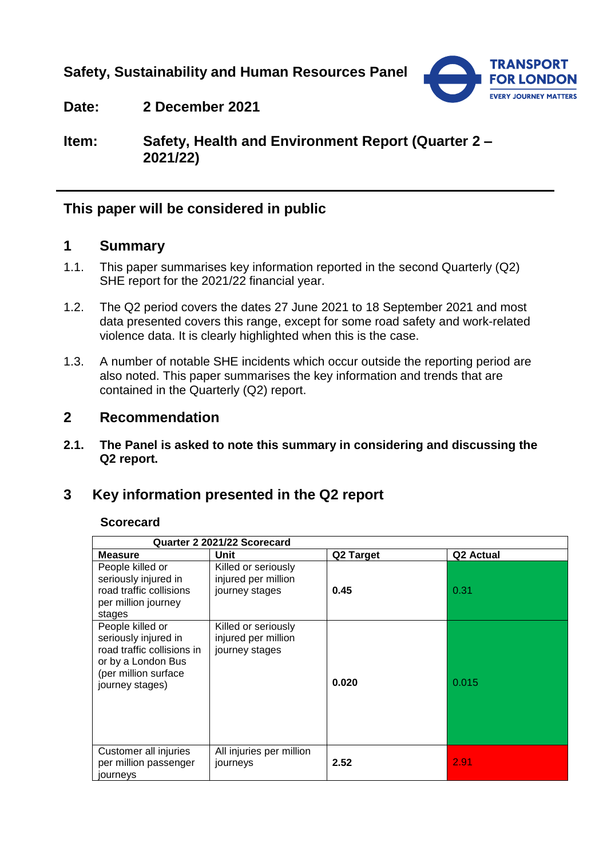**Safety, Sustainability and Human Resources Panel**



**Date: 2 December 2021**

**Item: Safety, Health and Environment Report (Quarter 2 – 2021/22)**

## **This paper will be considered in public**

## **1 Summary**

- 1.1. This paper summarises key information reported in the second Quarterly (Q2) SHE report for the 2021/22 financial year.
- 1.2. The Q2 period covers the dates 27 June 2021 to 18 September 2021 and most data presented covers this range, except for some road safety and work-related violence data. It is clearly highlighted when this is the case.
- 1.3. A number of notable SHE incidents which occur outside the reporting period are also noted. This paper summarises the key information and trends that are contained in the Quarterly (Q2) report.

### **2 Recommendation**

**2.1. The Panel is asked to note this summary in considering and discussing the Q2 report.**

## **3 Key information presented in the Q2 report**

#### **Scorecard**

| Quarter 2 2021/22 Scorecard                                                                                                             |                                                              |           |                       |  |
|-----------------------------------------------------------------------------------------------------------------------------------------|--------------------------------------------------------------|-----------|-----------------------|--|
| <b>Measure</b>                                                                                                                          | Unit                                                         | Q2 Target | Q <sub>2</sub> Actual |  |
| People killed or<br>seriously injured in<br>road traffic collisions<br>per million journey<br>stages                                    | Killed or seriously<br>injured per million<br>journey stages | 0.45      | 0.31                  |  |
| People killed or<br>seriously injured in<br>road traffic collisions in<br>or by a London Bus<br>(per million surface<br>journey stages) | Killed or seriously<br>injured per million<br>journey stages | 0.020     | 0.015                 |  |
| Customer all injuries<br>per million passenger<br>journeys                                                                              | All injuries per million<br>journeys                         | 2.52      | 2.91                  |  |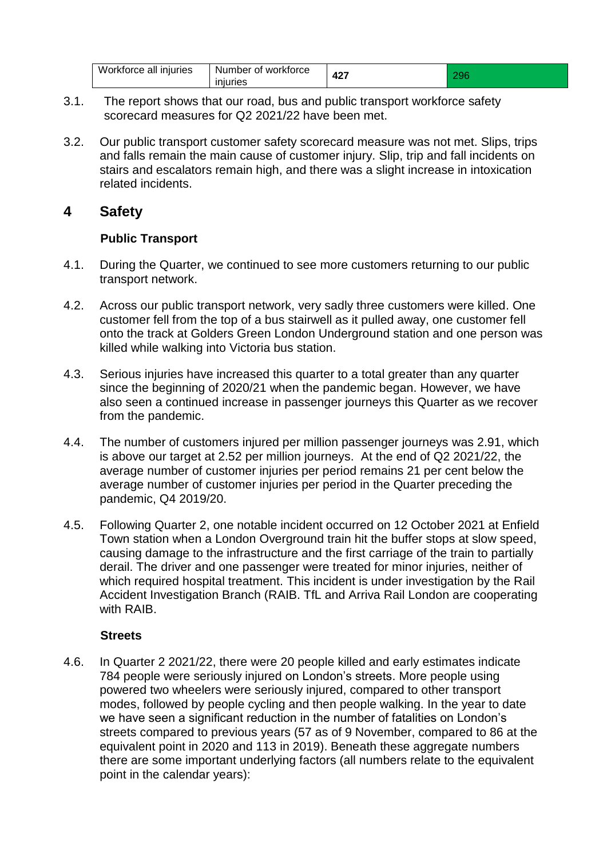| Workforce all | Number of workforce | 107        | . J U |
|---------------|---------------------|------------|-------|
| iniuries      | iniuries            | <u>т∠.</u> |       |

- 3.1. The report shows that our road, bus and public transport workforce safety scorecard measures for Q2 2021/22 have been met.
- 3.2. Our public transport customer safety scorecard measure was not met. Slips, trips and falls remain the main cause of customer injury. Slip, trip and fall incidents on stairs and escalators remain high, and there was a slight increase in intoxication related incidents.

# **4 Safety**

### **Public Transport**

- 4.1. During the Quarter, we continued to see more customers returning to our public transport network.
- 4.2. Across our public transport network, very sadly three customers were killed. One customer fell from the top of a bus stairwell as it pulled away, one customer fell onto the track at Golders Green London Underground station and one person was killed while walking into Victoria bus station.
- 4.3. Serious injuries have increased this quarter to a total greater than any quarter since the beginning of 2020/21 when the pandemic began. However, we have also seen a continued increase in passenger journeys this Quarter as we recover from the pandemic.
- 4.4. The number of customers injured per million passenger journeys was 2.91, which is above our target at 2.52 per million journeys. At the end of Q2 2021/22, the average number of customer injuries per period remains 21 per cent below the average number of customer injuries per period in the Quarter preceding the pandemic, Q4 2019/20.
- 4.5. Following Quarter 2, one notable incident occurred on 12 October 2021 at Enfield Town station when a London Overground train hit the buffer stops at slow speed, causing damage to the infrastructure and the first carriage of the train to partially derail. The driver and one passenger were treated for minor injuries, neither of which required hospital treatment. This incident is under investigation by the Rail Accident Investigation Branch (RAIB. TfL and Arriva Rail London are cooperating with RAIB.

### **Streets**

4.6. In Quarter 2 2021/22, there were 20 people killed and early estimates indicate 784 people were seriously injured on London's streets. More people using powered two wheelers were seriously injured, compared to other transport modes, followed by people cycling and then people walking. In the year to date we have seen a significant reduction in the number of fatalities on London's streets compared to previous years (57 as of 9 November, compared to 86 at the equivalent point in 2020 and 113 in 2019). Beneath these aggregate numbers there are some important underlying factors (all numbers relate to the equivalent point in the calendar years):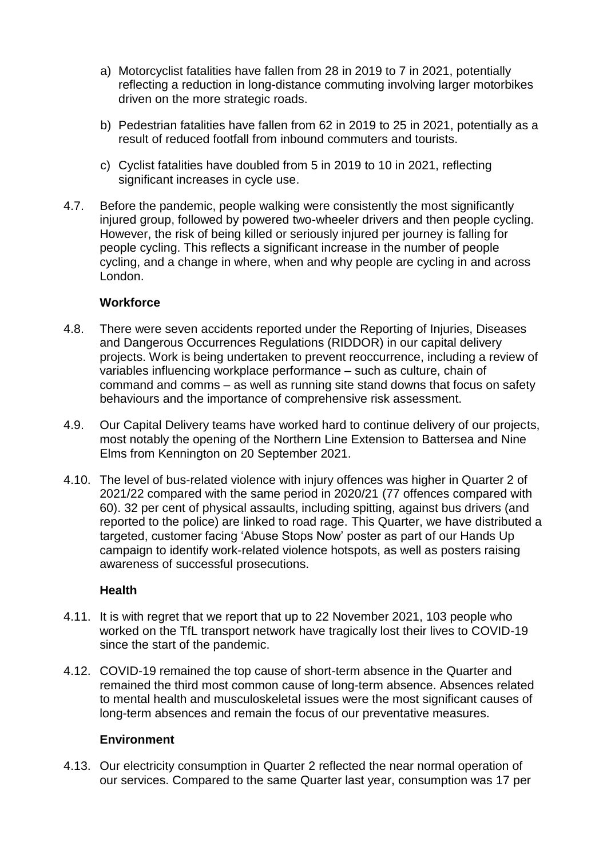- a) Motorcyclist fatalities have fallen from 28 in 2019 to 7 in 2021, potentially reflecting a reduction in long-distance commuting involving larger motorbikes driven on the more strategic roads.
- b) Pedestrian fatalities have fallen from 62 in 2019 to 25 in 2021, potentially as a result of reduced footfall from inbound commuters and tourists.
- c) Cyclist fatalities have doubled from 5 in 2019 to 10 in 2021, reflecting significant increases in cycle use.
- 4.7. Before the pandemic, people walking were consistently the most significantly injured group, followed by powered two-wheeler drivers and then people cycling. However, the risk of being killed or seriously injured per journey is falling for people cycling. This reflects a significant increase in the number of people cycling, and a change in where, when and why people are cycling in and across London.

### **Workforce**

- 4.8. There were seven accidents reported under the Reporting of Injuries, Diseases and Dangerous Occurrences Regulations (RIDDOR) in our capital delivery projects. Work is being undertaken to prevent reoccurrence, including a review of variables influencing workplace performance – such as culture, chain of command and comms – as well as running site stand downs that focus on safety behaviours and the importance of comprehensive risk assessment.
- 4.9. Our Capital Delivery teams have worked hard to continue delivery of our projects, most notably the opening of the Northern Line Extension to Battersea and Nine Elms from Kennington on 20 September 2021.
- 4.10. The level of bus-related violence with injury offences was higher in Quarter 2 of 2021/22 compared with the same period in 2020/21 (77 offences compared with 60). 32 per cent of physical assaults, including spitting, against bus drivers (and reported to the police) are linked to road rage. This Quarter, we have distributed a targeted, customer facing 'Abuse Stops Now' poster as part of our Hands Up campaign to identify work-related violence hotspots, as well as posters raising awareness of successful prosecutions.

### **Health**

- 4.11. It is with regret that we report that up to 22 November 2021, 103 people who worked on the TfL transport network have tragically lost their lives to COVID-19 since the start of the pandemic.
- 4.12. COVID-19 remained the top cause of short-term absence in the Quarter and remained the third most common cause of long-term absence. Absences related to mental health and musculoskeletal issues were the most significant causes of long-term absences and remain the focus of our preventative measures.

### **Environment**

4.13. Our electricity consumption in Quarter 2 reflected the near normal operation of our services. Compared to the same Quarter last year, consumption was 17 per